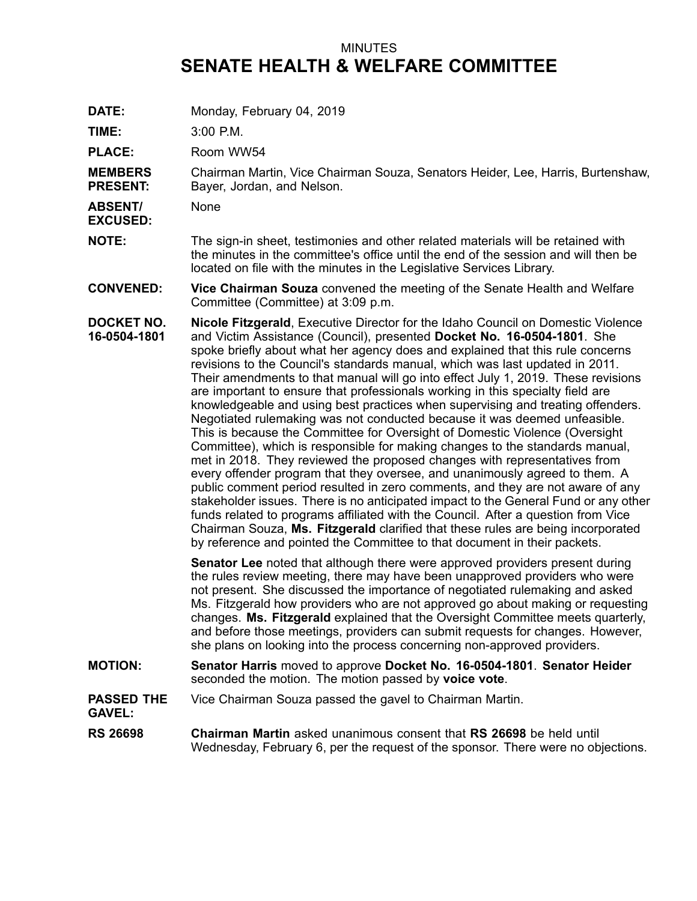## MINUTES **SENATE HEALTH & WELFARE COMMITTEE**

**DATE:** Monday, February 04, 2019

**TIME:** 3:00 P.M.

PLACE: Room WW54

**MEMBERS PRESENT:** Chairman Martin, Vice Chairman Souza, Senators Heider, Lee, Harris, Burtenshaw, Bayer, Jordan, and Nelson.

**ABSENT/** None

- **EXCUSED:**
- **NOTE:** The sign-in sheet, testimonies and other related materials will be retained with the minutes in the committee's office until the end of the session and will then be located on file with the minutes in the Legislative Services Library.
- **CONVENED: Vice Chairman Souza** convened the meeting of the Senate Health and Welfare Committee (Committee) at 3:09 p.m.
- **DOCKET NO. 16-0504-1801 Nicole Fitzgerald**, Executive Director for the Idaho Council on Domestic Violence and Victim Assistance (Council), presented **Docket No. 16-0504-1801**. She spoke briefly about what her agency does and explained that this rule concerns revisions to the Council's standards manual, which was last updated in 2011. Their amendments to that manual will go into effect July 1, 2019. These revisions are important to ensure that professionals working in this specialty field are knowledgeable and using best practices when supervising and treating offenders. Negotiated rulemaking was not conducted because it was deemed unfeasible. This is because the Committee for Oversight of Domestic Violence (Oversight Committee), which is responsible for making changes to the standards manual, met in 2018. They reviewed the proposed changes with representatives from every offender program that they oversee, and unanimously agreed to them. A public comment period resulted in zero comments, and they are not aware of any stakeholder issues. There is no anticipated impact to the General Fund or any other funds related to programs affiliated with the Council. After <sup>a</sup> question from Vice Chairman Souza, **Ms. Fitzgerald** clarified that these rules are being incorporated by reference and pointed the Committee to that document in their packets.

**Senator Lee** noted that although there were approved providers present during the rules review meeting, there may have been unapproved providers who were not present. She discussed the importance of negotiated rulemaking and asked Ms. Fitzgerald how providers who are not approved go about making or requesting changes. **Ms. Fitzgerald** explained that the Oversight Committee meets quarterly, and before those meetings, providers can submit requests for changes. However, she plans on looking into the process concerning non-approved providers.

- **MOTION: Senator Harris** moved to approve **Docket No. 16-0504-1801**. **Senator Heider** seconded the motion. The motion passed by **voice vote**.
- **PASSED THE** Vice Chairman Souza passed the gavel to Chairman Martin.

**GAVEL:**

**RS 26698 Chairman Martin** asked unanimous consent that **RS 26698** be held until Wednesday, February 6, per the request of the sponsor. There were no objections.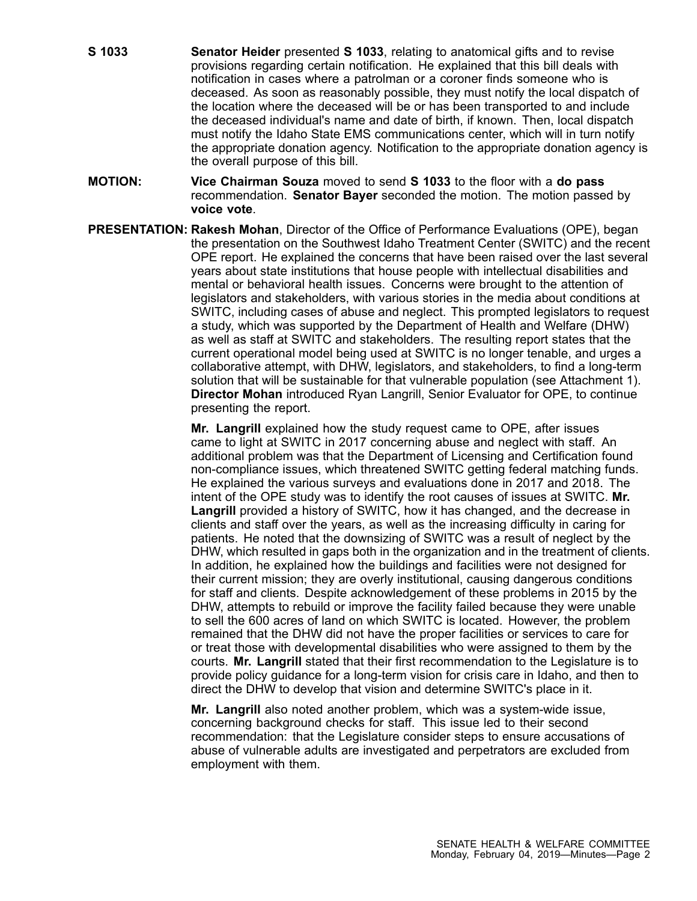- **S 1033 Senator Heider** presented **S 1033**, relating to anatomical gifts and to revise provisions regarding certain notification. He explained that this bill deals with notification in cases where <sup>a</sup> patrolman or <sup>a</sup> coroner finds someone who is deceased. As soon as reasonably possible, they must notify the local dispatch of the location where the deceased will be or has been transported to and include the deceased individual's name and date of birth, if known. Then, local dispatch must notify the Idaho State EMS communications center, which will in turn notify the appropriate donation agency. Notification to the appropriate donation agency is the overall purpose of this bill.
- **MOTION: Vice Chairman Souza** moved to send **S 1033** to the floor with <sup>a</sup> **do pass** recommendation. **Senator Bayer** seconded the motion. The motion passed by **voice vote**.
- **PRESENTATION: Rakesh Mohan**, Director of the Office of Performance Evaluations (OPE), began the presentation on the Southwest Idaho Treatment Center (SWITC) and the recent OPE report. He explained the concerns that have been raised over the last several years about state institutions that house people with intellectual disabilities and mental or behavioral health issues. Concerns were brought to the attention of legislators and stakeholders, with various stories in the media about conditions at SWITC, including cases of abuse and neglect. This prompted legislators to request <sup>a</sup> study, which was supported by the Department of Health and Welfare (DHW) as well as staff at SWITC and stakeholders. The resulting report states that the current operational model being used at SWITC is no longer tenable, and urges <sup>a</sup> collaborative attempt, with DHW, legislators, and stakeholders, to find <sup>a</sup> long-term solution that will be sustainable for that vulnerable population (see Attachment 1). **Director Mohan** introduced Ryan Langrill, Senior Evaluator for OPE, to continue presenting the report.

**Mr. Langrill** explained how the study request came to OPE, after issues came to light at SWITC in 2017 concerning abuse and neglect with staff. An additional problem was that the Department of Licensing and Certification found non-compliance issues, which threatened SWITC getting federal matching funds. He explained the various surveys and evaluations done in 2017 and 2018. The intent of the OPE study was to identify the root causes of issues at SWITC. **Mr. Langrill** provided <sup>a</sup> history of SWITC, how it has changed, and the decrease in clients and staff over the years, as well as the increasing difficulty in caring for patients. He noted that the downsizing of SWITC was <sup>a</sup> result of neglect by the DHW, which resulted in gaps both in the organization and in the treatment of clients. In addition, he explained how the buildings and facilities were not designed for their current mission; they are overly institutional, causing dangerous conditions for staff and clients. Despite acknowledgement of these problems in 2015 by the DHW, attempts to rebuild or improve the facility failed because they were unable to sell the 600 acres of land on which SWITC is located. However, the problem remained that the DHW did not have the proper facilities or services to care for or treat those with developmental disabilities who were assigned to them by the courts. **Mr. Langrill** stated that their first recommendation to the Legislature is to provide policy guidance for <sup>a</sup> long-term vision for crisis care in Idaho, and then to direct the DHW to develop that vision and determine SWITC's place in it.

**Mr. Langrill** also noted another problem, which was <sup>a</sup> system-wide issue, concerning background checks for staff. This issue led to their second recommendation: that the Legislature consider steps to ensure accusations of abuse of vulnerable adults are investigated and perpetrators are excluded from employment with them.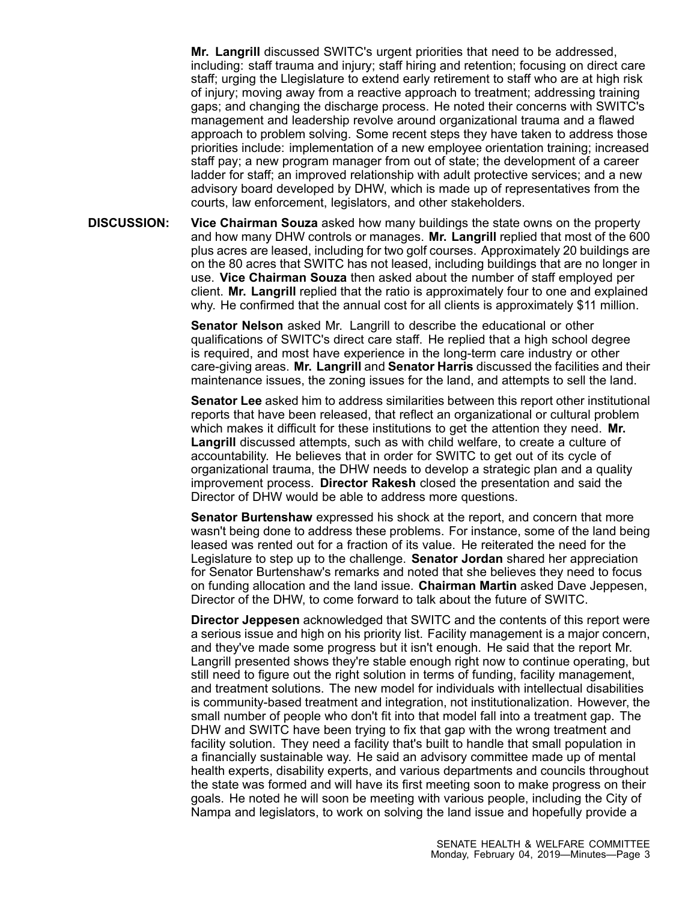**Mr. Langrill** discussed SWITC's urgent priorities that need to be addressed, including: staff trauma and injury; staff hiring and retention; focusing on direct care staff; urging the Llegislature to extend early retirement to staff who are at high risk of injury; moving away from <sup>a</sup> reactive approach to treatment; addressing training gaps; and changing the discharge process. He noted their concerns with SWITC's management and leadership revolve around organizational trauma and <sup>a</sup> flawed approach to problem solving. Some recent steps they have taken to address those priorities include: implementation of <sup>a</sup> new employee orientation training; increased staff pay; <sup>a</sup> new program manager from out of state; the development of <sup>a</sup> career ladder for staff; an improved relationship with adult protective services; and <sup>a</sup> new advisory board developed by DHW, which is made up of representatives from the courts, law enforcement, legislators, and other stakeholders.

**DISCUSSION: Vice Chairman Souza** asked how many buildings the state owns on the property and how many DHW controls or manages. **Mr. Langrill** replied that most of the 600 plus acres are leased, including for two golf courses. Approximately 20 buildings are on the 80 acres that SWITC has not leased, including buildings that are no longer in use. **Vice Chairman Souza** then asked about the number of staff employed per client. **Mr. Langrill** replied that the ratio is approximately four to one and explained why. He confirmed that the annual cost for all clients is approximately \$11 million.

> **Senator Nelson** asked Mr. Langrill to describe the educational or other qualifications of SWITC's direct care staff. He replied that <sup>a</sup> high school degree is required, and most have experience in the long-term care industry or other care-giving areas. **Mr. Langrill** and **Senator Harris** discussed the facilities and their maintenance issues, the zoning issues for the land, and attempts to sell the land.

> **Senator Lee** asked him to address similarities between this report other institutional reports that have been released, that reflect an organizational or cultural problem which makes it difficult for these institutions to get the attention they need. **Mr. Langrill** discussed attempts, such as with child welfare, to create <sup>a</sup> culture of accountability. He believes that in order for SWITC to get out of its cycle of organizational trauma, the DHW needs to develop <sup>a</sup> strategic plan and <sup>a</sup> quality improvement process. **Director Rakesh** closed the presentation and said the Director of DHW would be able to address more questions.

> **Senator Burtenshaw** expressed his shock at the report, and concern that more wasn't being done to address these problems. For instance, some of the land being leased was rented out for a fraction of its value. He reiterated the need for the Legislature to step up to the challenge. **Senator Jordan** shared her appreciation for Senator Burtenshaw's remarks and noted that she believes they need to focus on funding allocation and the land issue. **Chairman Martin** asked Dave Jeppesen, Director of the DHW, to come forward to talk about the future of SWITC.

> **Director Jeppesen** acknowledged that SWITC and the contents of this report were <sup>a</sup> serious issue and high on his priority list. Facility management is <sup>a</sup> major concern, and they've made some progress but it isn't enough. He said that the report Mr. Langrill presented shows they're stable enough right now to continue operating, but still need to figure out the right solution in terms of funding, facility management, and treatment solutions. The new model for individuals with intellectual disabilities is community-based treatment and integration, not institutionalization. However, the small number of people who don't fit into that model fall into <sup>a</sup> treatment gap. The DHW and SWITC have been trying to fix that gap with the wrong treatment and facility solution. They need <sup>a</sup> facility that's built to handle that small population in <sup>a</sup> financially sustainable way. He said an advisory committee made up of mental health experts, disability experts, and various departments and councils throughout the state was formed and will have its first meeting soon to make progress on their goals. He noted he will soon be meeting with various people, including the City of Nampa and legislators, to work on solving the land issue and hopefully provide <sup>a</sup>